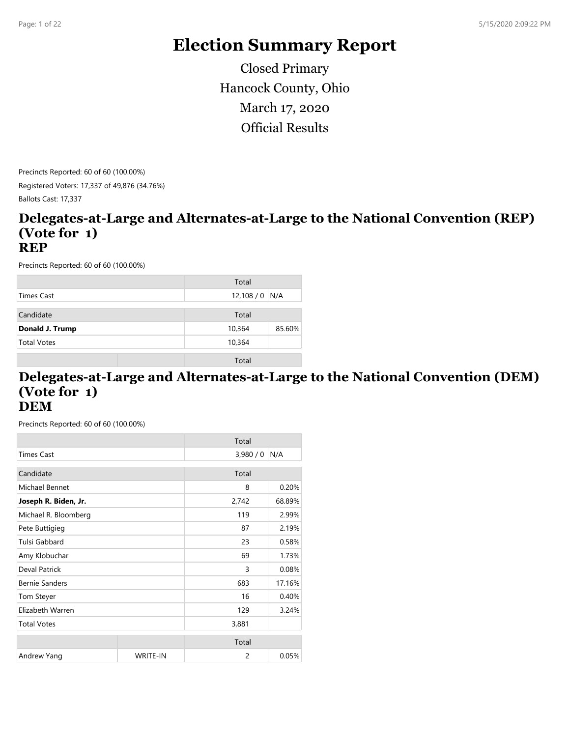# **Election Summary Report**

Hancock County, Ohio Official Results March 17, 2020 Closed Primary

Precincts Reported: 60 of 60 (100.00%) Registered Voters: 17,337 of 49,876 (34.76%) Ballots Cast: 17,337

#### **Delegates-at-Large and Alternates-at-Large to the National Convention (REP) (Vote for 1) REP**

Precincts Reported: 60 of 60 (100.00%)

|                    | Total            |
|--------------------|------------------|
| Times Cast         | $12,108/0$ N/A   |
| Candidate          | Total            |
| Donald J. Trump    | 85.60%<br>10,364 |
| <b>Total Votes</b> | 10,364           |
|                    | Total            |

#### **Delegates-at-Large and Alternates-at-Large to the National Convention (DEM) (Vote for 1) DEM**

|                       |                 | Total   |        |
|-----------------------|-----------------|---------|--------|
| <b>Times Cast</b>     |                 | 3,980/0 | N/A    |
| Candidate             |                 | Total   |        |
| Michael Bennet        |                 | 8       | 0.20%  |
| Joseph R. Biden, Jr.  |                 | 2,742   | 68.89% |
| Michael R. Bloomberg  |                 | 119     | 2.99%  |
| Pete Buttigieg        |                 | 87      | 2.19%  |
| Tulsi Gabbard         |                 | 23      | 0.58%  |
| Amy Klobuchar         |                 | 69      | 1.73%  |
| Deval Patrick         |                 | 3       | 0.08%  |
| <b>Bernie Sanders</b> |                 | 683     | 17.16% |
| Tom Steyer            |                 | 16      | 0.40%  |
| Elizabeth Warren      |                 | 129     | 3.24%  |
| <b>Total Votes</b>    |                 | 3,881   |        |
|                       |                 | Total   |        |
| Andrew Yang           | <b>WRITE-IN</b> | 2       | 0.05%  |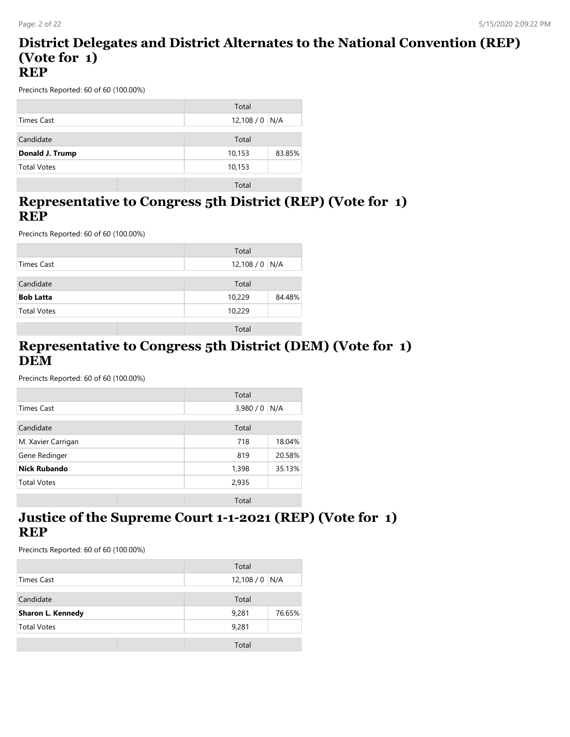#### **District Delegates and District Alternates to the National Convention (REP) (Vote for 1) REP**

Precincts Reported: 60 of 60 (100.00%)

|                    | Total          |        |
|--------------------|----------------|--------|
| Times Cast         | $12,108/0$ N/A |        |
|                    |                |        |
| Candidate          | Total          |        |
| Donald J. Trump    | 10,153         | 83.85% |
| <b>Total Votes</b> | 10,153         |        |
|                    |                |        |

Total

#### **Representative to Congress 5th District (REP) (Vote for 1) REP**

Precincts Reported: 60 of 60 (100.00%)

|                    | Total            |
|--------------------|------------------|
| Times Cast         | 12,108 / 0 N/A   |
| Candidate          | Total            |
| <b>Bob Latta</b>   | 84.48%<br>10,229 |
| <b>Total Votes</b> | 10,229           |
|                    | Total            |

#### **Representative to Congress 5th District (DEM) (Vote for 1) DEM**

Precincts Reported: 60 of 60 (100.00%)

|                     | Total           |
|---------------------|-----------------|
| <b>Times Cast</b>   | 3,980/0<br>N/A  |
| Candidate           | Total           |
| M. Xavier Carrigan  | 718<br>18.04%   |
| Gene Redinger       | 20.58%<br>819   |
| <b>Nick Rubando</b> | 35.13%<br>1,398 |
| <b>Total Votes</b>  | 2,935           |
|                     | Total           |

#### **Justice of the Supreme Court 1-1-2021 (REP) (Vote for 1) REP**

|                          | Total           |
|--------------------------|-----------------|
| Times Cast               | $12,108/0$ N/A  |
| Candidate                | Total           |
| <b>Sharon L. Kennedy</b> | 9,281<br>76.65% |
| <b>Total Votes</b>       | 9,281           |
|                          | Total           |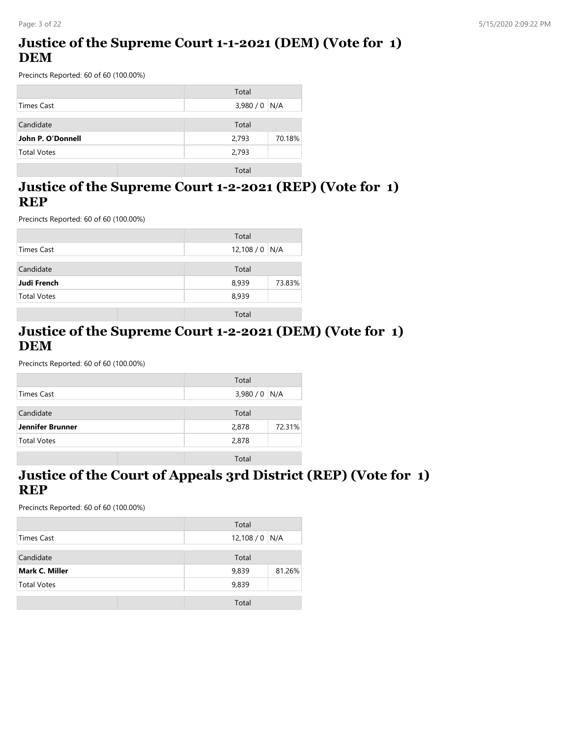### **Justice of the Supreme Court 1-1-2021 (DEM) (Vote for 1) DEM**

Precincts Reported: 60 of 60 (100.00%)

|                    | Total           |
|--------------------|-----------------|
| Times Cast         | $3,980/0$ N/A   |
| Candidate          | Total           |
| John P. O'Donnell  | 70.18%<br>2,793 |
| <b>Total Votes</b> | 2,793           |
|                    | Total           |

#### **Justice of the Supreme Court 1-2-2021 (REP) (Vote for 1) REP**

Precincts Reported: 60 of 60 (100.00%)

|                    | Total            |
|--------------------|------------------|
| Times Cast         | 12,108 / 0 $N/A$ |
| Candidate          | Total            |
| Judi French        | 8,939<br>73.83%  |
| <b>Total Votes</b> | 8,939            |
|                    | Total            |

#### **Justice of the Supreme Court 1-2-2021 (DEM) (Vote for 1) DEM**

Precincts Reported: 60 of 60 (100.00%)

|                    | Total           |
|--------------------|-----------------|
| Times Cast         | $3,980/0$ N/A   |
|                    |                 |
| Candidate          | Total           |
| Jennifer Brunner   | 72.31%<br>2,878 |
| <b>Total Votes</b> | 2,878           |
|                    |                 |
|                    | Total           |

#### **Justice of the Court of Appeals 3rd District (REP) (Vote for 1) REP**

|                       | Total           |
|-----------------------|-----------------|
| Times Cast            | $12,108/0$ N/A  |
| Candidate             | Total           |
| <b>Mark C. Miller</b> | 81.26%<br>9,839 |
| <b>Total Votes</b>    | 9,839           |
|                       | Total           |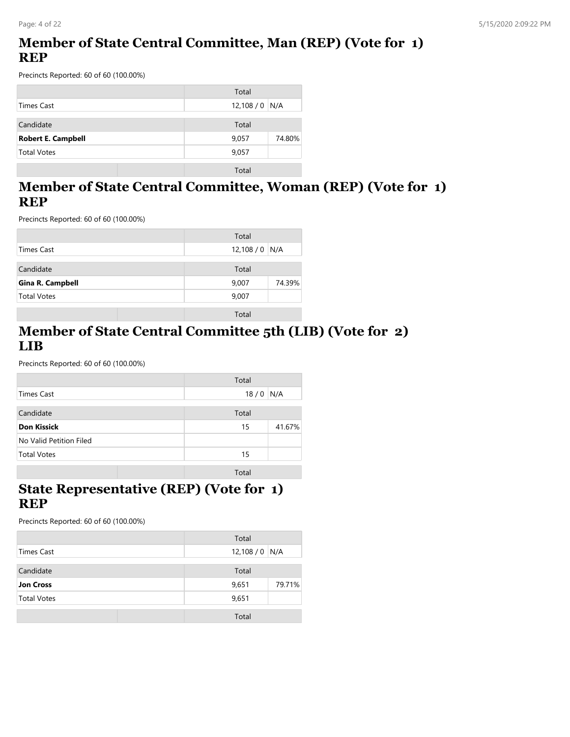### **Member of State Central Committee, Man (REP) (Vote for 1) REP**

Precincts Reported: 60 of 60 (100.00%)

|                           | Total            |
|---------------------------|------------------|
| Times Cast                | 12,108 / 0 $N/A$ |
| Candidate                 | Total            |
| <b>Robert E. Campbell</b> | 74.80%<br>9,057  |
| <b>Total Votes</b>        | 9,057            |
|                           | Total            |

#### **Member of State Central Committee, Woman (REP) (Vote for 1) REP**

Precincts Reported: 60 of 60 (100.00%)

|                         | Total           |
|-------------------------|-----------------|
| Times Cast              | $12,108/0$ N/A  |
| Candidate               | Total           |
| <b>Gina R. Campbell</b> | 74.39%<br>9,007 |
| <b>Total Votes</b>      | 9,007           |
|                         | Total           |

#### **Member of State Central Committee 5th (LIB) (Vote for 2) LIB**

Precincts Reported: 60 of 60 (100.00%)

|                         | Total |        |
|-------------------------|-------|--------|
| Times Cast              | 18/0  | N/A    |
|                         |       |        |
| Candidate               | Total |        |
| <b>Don Kissick</b>      | 15    | 41.67% |
| No Valid Petition Filed |       |        |
| <b>Total Votes</b>      | 15    |        |
|                         |       |        |
|                         | Total |        |

### **State Representative (REP) (Vote for 1) REP**

|                    | Total           |
|--------------------|-----------------|
| Times Cast         | $12,108/0$ N/A  |
|                    |                 |
| Candidate          | Total           |
| <b>Jon Cross</b>   | 79.71%<br>9,651 |
| <b>Total Votes</b> | 9,651           |
|                    |                 |
|                    | Total           |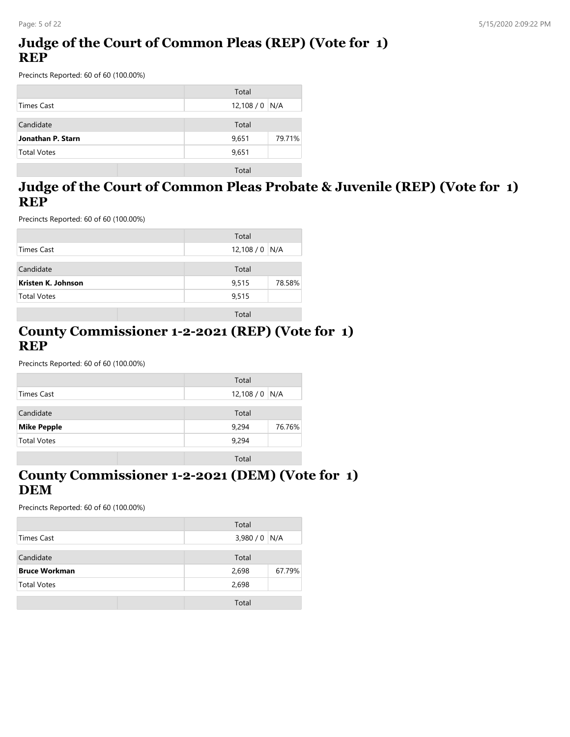### **Judge of the Court of Common Pleas (REP) (Vote for 1) REP**

Precincts Reported: 60 of 60 (100.00%)

|                    | Total           |
|--------------------|-----------------|
| Times Cast         | $12,108/0$ N/A  |
| Candidate          | Total           |
| Jonathan P. Starn  | 9,651<br>79.71% |
| <b>Total Votes</b> | 9,651           |
|                    | Total           |

#### **Judge of the Court of Common Pleas Probate & Juvenile (REP) (Vote for 1) REP**

Precincts Reported: 60 of 60 (100.00%)

|                    | Total           |
|--------------------|-----------------|
| Times Cast         | $12,108/0$ N/A  |
| Candidate          | Total           |
| Kristen K. Johnson | 78.58%<br>9,515 |
| <b>Total Votes</b> | 9,515           |
|                    | Total           |

#### **County Commissioner 1-2-2021 (REP) (Vote for 1) REP**

Precincts Reported: 60 of 60 (100.00%)

|                    | Total            |
|--------------------|------------------|
| Times Cast         | 12,108 / 0   N/A |
|                    |                  |
| Candidate          | Total            |
| <b>Mike Pepple</b> | 9,294<br>76.76%  |
| <b>Total Votes</b> | 9,294            |
|                    |                  |
|                    | Total            |

#### **County Commissioner 1-2-2021 (DEM) (Vote for 1) DEM**

|                      | Total           |
|----------------------|-----------------|
| Times Cast           | $3,980/0$ N/A   |
| Candidate            | Total           |
| <b>Bruce Workman</b> | 67.79%<br>2,698 |
|                      |                 |
| <b>Total Votes</b>   | 2,698           |
|                      | Total           |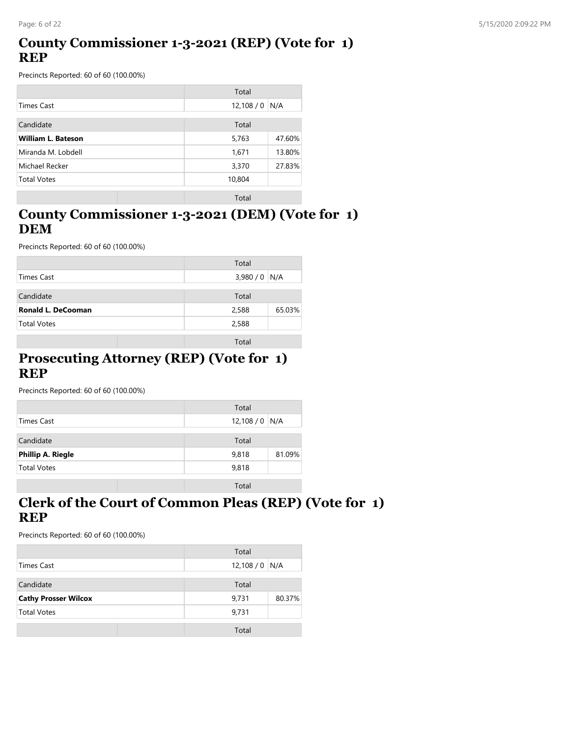### **County Commissioner 1-3-2021 (REP) (Vote for 1) REP**

Precincts Reported: 60 of 60 (100.00%)

|                           | Total           |
|---------------------------|-----------------|
| Times Cast                | 12,108/0<br>N/A |
| Candidate                 | Total           |
| <b>William L. Bateson</b> | 5,763<br>47.60% |
| Miranda M. Lobdell        | 13.80%<br>1,671 |
| Michael Recker            | 3,370<br>27.83% |
| <b>Total Votes</b>        | 10,804          |
|                           | Total           |

### **County Commissioner 1-3-2021 (DEM) (Vote for 1) DEM**

Precincts Reported: 60 of 60 (100.00%)

|                           | Total           |
|---------------------------|-----------------|
| Times Cast                | $3,980/0$ N/A   |
| Candidate                 | Total           |
| <b>Ronald L. DeCooman</b> | 65.03%<br>2,588 |
| <b>Total Votes</b>        | 2,588           |
|                           | Total           |

#### **Prosecuting Attorney (REP) (Vote for 1) REP**

Precincts Reported: 60 of 60 (100.00%)

|                          | Total           |
|--------------------------|-----------------|
| Times Cast               | $12,108/0$ N/A  |
| Candidate                | Total           |
| <b>Phillip A. Riegle</b> | 81.09%<br>9,818 |
| <b>Total Votes</b>       | 9,818           |
|                          | Total           |

### **Clerk of the Court of Common Pleas (REP) (Vote for 1) REP**

|                             | Total          |        |
|-----------------------------|----------------|--------|
| Times Cast                  | $12,108/0$ N/A |        |
| Candidate                   | Total          |        |
| <b>Cathy Prosser Wilcox</b> | 9,731          | 80.37% |
| <b>Total Votes</b>          | 9,731          |        |
|                             | Total          |        |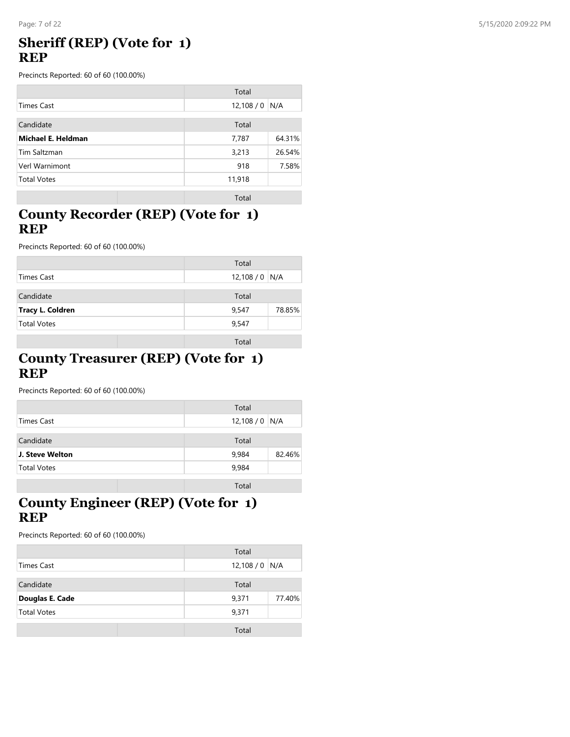#### Page: 7 of 22 5/15/2020 2:09:22 PM

#### **Sheriff (REP) (Vote for 1) REP**

Precincts Reported: 60 of 60 (100.00%)

|                    | Total    |        |
|--------------------|----------|--------|
| <b>Times Cast</b>  | 12,108/0 | N/A    |
| Candidate          | Total    |        |
| Michael E. Heldman | 7,787    | 64.31% |
| Tim Saltzman       | 3,213    | 26.54% |
| Verl Warnimont     | 918      | 7.58%  |
| <b>Total Votes</b> | 11,918   |        |
|                    | Total    |        |

#### **County Recorder (REP) (Vote for 1) REP**

Precincts Reported: 60 of 60 (100.00%)

|                         | Total           |
|-------------------------|-----------------|
| Times Cast              | $12,108/0$ N/A  |
| Candidate               | Total           |
| <b>Tracy L. Coldren</b> | 78.85%<br>9,547 |
| <b>Total Votes</b>      | 9,547           |
|                         | Total           |

#### **County Treasurer (REP) (Vote for 1) REP**

Precincts Reported: 60 of 60 (100.00%)

|                    | Total           |
|--------------------|-----------------|
| Times Cast         | $12,108/0$ N/A  |
| Candidate          | Total           |
| J. Steve Welton    | 9,984<br>82.46% |
| <b>Total Votes</b> | 9,984           |
|                    | Total           |

### **County Engineer (REP) (Vote for 1) REP**

|                    | Total          |        |
|--------------------|----------------|--------|
| Times Cast         | $12,108/0$ N/A |        |
| Candidate          | Total          |        |
| Douglas E. Cade    | 9,371          | 77.40% |
| <b>Total Votes</b> | 9,371          |        |
|                    | Total          |        |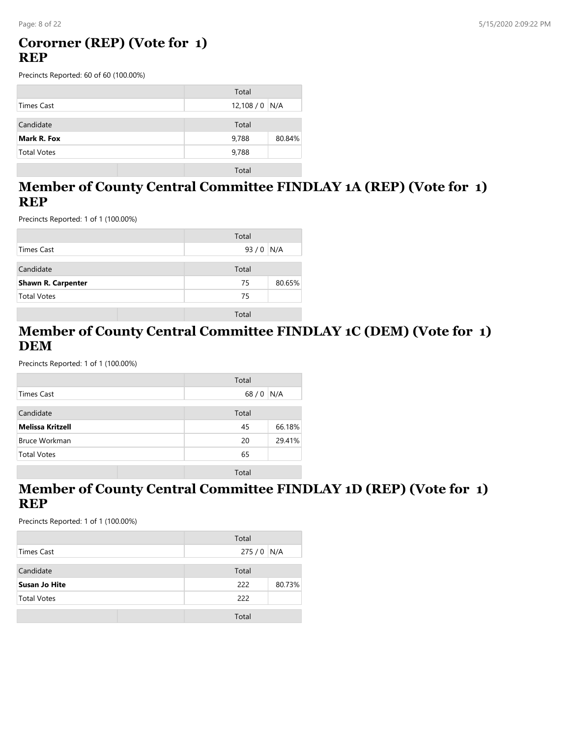### **Cororner (REP) (Vote for 1) REP**

Precincts Reported: 60 of 60 (100.00%)

|                    | Total           |
|--------------------|-----------------|
| Times Cast         | $12,108/0$ N/A  |
| Candidate          | Total           |
| Mark R. Fox        | 80.84%<br>9,788 |
| <b>Total Votes</b> | 9,788           |
|                    | Total           |

#### **Member of County Central Committee FINDLAY 1A (REP) (Vote for 1) REP**

Precincts Reported: 1 of 1 (100.00%)

|                           | Total        |
|---------------------------|--------------|
| Times Cast                | $93/0$ N/A   |
| Candidate                 | Total        |
| <b>Shawn R. Carpenter</b> | 80.65%<br>75 |
| <b>Total Votes</b>        | 75           |
|                           | Total        |

#### **Member of County Central Committee FINDLAY 1C (DEM) (Vote for 1) DEM**

Precincts Reported: 1 of 1 (100.00%)

|                         | Total  |        |
|-------------------------|--------|--------|
| <b>Times Cast</b>       | $68/0$ | N/A    |
| Candidate               | Total  |        |
|                         |        |        |
| <b>Melissa Kritzell</b> | 45     | 66.18% |
| <b>Bruce Workman</b>    | 20     | 29.41% |
| <b>Total Votes</b>      | 65     |        |
|                         | Total  |        |

### **Member of County Central Committee FINDLAY 1D (REP) (Vote for 1) REP**

|                      | Total         |
|----------------------|---------------|
| Times Cast           | $275/0$ N/A   |
|                      |               |
| Candidate            | Total         |
| <b>Susan Jo Hite</b> | 80.73%<br>222 |
| <b>Total Votes</b>   | 222           |
|                      | Total         |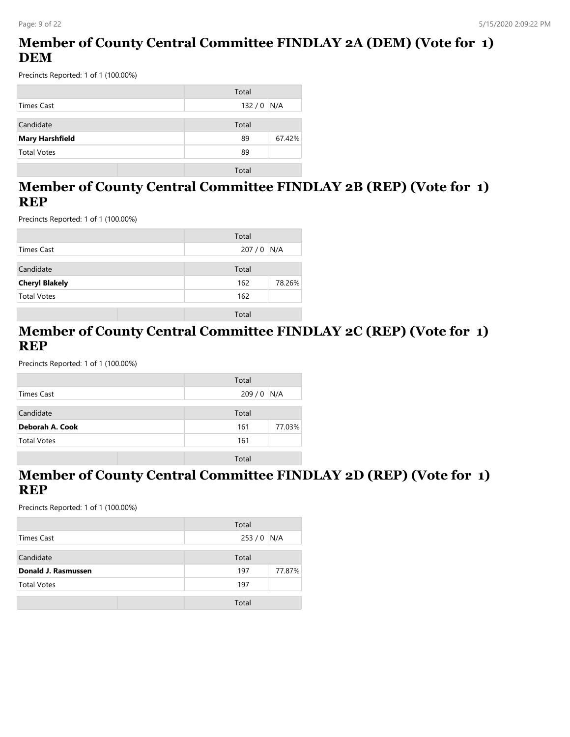### **Member of County Central Committee FINDLAY 2A (DEM) (Vote for 1) DEM**

Precincts Reported: 1 of 1 (100.00%)

|                        | Total        |
|------------------------|--------------|
| Times Cast             | $132/0$ N/A  |
| Candidate              | Total        |
| <b>Mary Harshfield</b> | 67.42%<br>89 |
| <b>Total Votes</b>     | 89           |
|                        | Total        |

### **Member of County Central Committee FINDLAY 2B (REP) (Vote for 1) REP**

Precincts Reported: 1 of 1 (100.00%)

|                       | Total         |
|-----------------------|---------------|
| Times Cast            | $207/0$ N/A   |
| Candidate             | Total         |
| <b>Cheryl Blakely</b> | 162<br>78.26% |
| <b>Total Votes</b>    | 162           |
|                       | Total         |

#### **Member of County Central Committee FINDLAY 2C (REP) (Vote for 1) REP**

Precincts Reported: 1 of 1 (100.00%)

|                    | Total         |
|--------------------|---------------|
| <b>Times Cast</b>  | 209/0<br>N/A  |
|                    |               |
| Candidate          | Total         |
| Deborah A. Cook    | 77.03%<br>161 |
| <b>Total Votes</b> | 161           |
|                    |               |
|                    | Total         |

#### **Member of County Central Committee FINDLAY 2D (REP) (Vote for 1) REP**

|                     | Total         |
|---------------------|---------------|
| Times Cast          | $253/0$ N/A   |
| Candidate           | Total         |
| Donald J. Rasmussen | 77.87%<br>197 |
| <b>Total Votes</b>  | 197           |
|                     | Total         |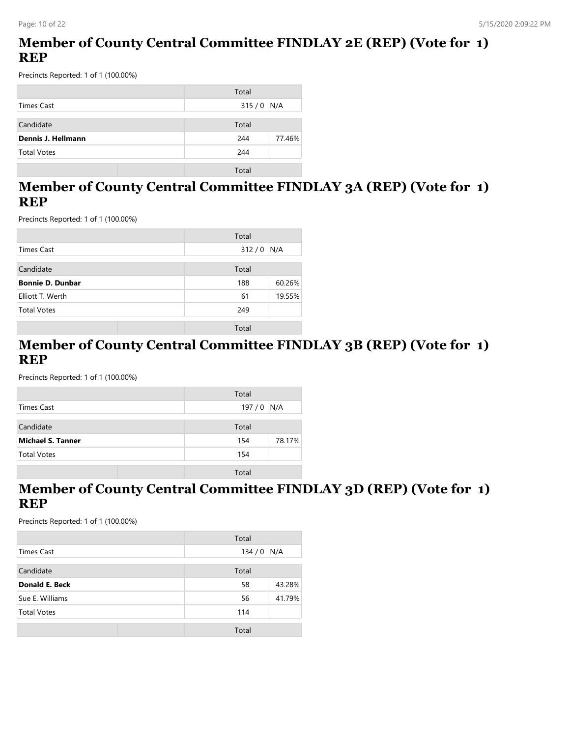### **Member of County Central Committee FINDLAY 2E (REP) (Vote for 1) REP**

Precincts Reported: 1 of 1 (100.00%)

|                    | Total         |
|--------------------|---------------|
| Times Cast         | $315/0$ N/A   |
| Candidate          | Total         |
| Dennis J. Hellmann | 77.46%<br>244 |
| <b>Total Votes</b> | 244           |
|                    | Total         |

#### **Member of County Central Committee FINDLAY 3A (REP) (Vote for 1) REP**

Precincts Reported: 1 of 1 (100.00%)

|                         | Total         |
|-------------------------|---------------|
| Times Cast              | 312/0<br>N/A  |
| Candidate               | Total         |
| <b>Bonnie D. Dunbar</b> | 60.26%<br>188 |
| Elliott T. Werth        | 19.55%<br>61  |
| <b>Total Votes</b>      | 249           |
|                         | Total         |

#### **Member of County Central Committee FINDLAY 3B (REP) (Vote for 1) REP**

Precincts Reported: 1 of 1 (100.00%)

|                          | Total         |
|--------------------------|---------------|
| Times Cast               | 197/0<br>N/A  |
|                          |               |
| Candidate                | Total         |
| <b>Michael S. Tanner</b> | 78.17%<br>154 |
| <b>Total Votes</b>       | 154           |
|                          | Total         |
|                          |               |

### **Member of County Central Committee FINDLAY 3D (REP) (Vote for 1) REP**

|                       | Total |        |
|-----------------------|-------|--------|
| Times Cast            | 134/0 | N/A    |
| Candidate             | Total |        |
| <b>Donald E. Beck</b> | 58    | 43.28% |
| Sue E. Williams       | 56    | 41.79% |
| <b>Total Votes</b>    | 114   |        |
|                       | Total |        |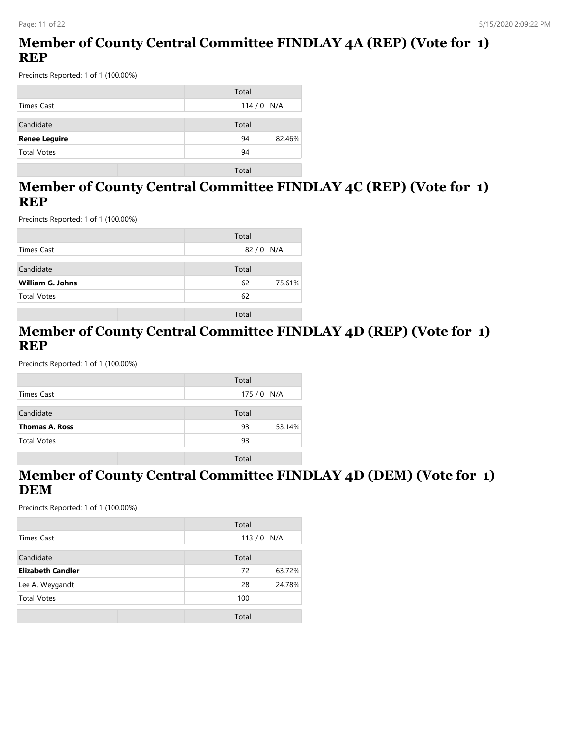### **Member of County Central Committee FINDLAY 4A (REP) (Vote for 1) REP**

Precincts Reported: 1 of 1 (100.00%)

|                      | Total        |
|----------------------|--------------|
| Times Cast           | $114/0$ N/A  |
| Candidate            | Total        |
| <b>Renee Leguire</b> | 82.46%<br>94 |
| <b>Total Votes</b>   | 94           |
|                      | Total        |

#### **Member of County Central Committee FINDLAY 4C (REP) (Vote for 1) REP**

Precincts Reported: 1 of 1 (100.00%)

|                         | Total        |
|-------------------------|--------------|
| Times Cast              | $82/0$ N/A   |
| Candidate               | Total        |
| <b>William G. Johns</b> | 75.61%<br>62 |
| <b>Total Votes</b>      | 62           |
|                         | Total        |

#### **Member of County Central Committee FINDLAY 4D (REP) (Vote for 1) REP**

Precincts Reported: 1 of 1 (100.00%)

|                       | Total        |
|-----------------------|--------------|
| <b>Times Cast</b>     | $175/0$ N/A  |
| Candidate             | Total        |
| <b>Thomas A. Ross</b> | 53.14%<br>93 |
| <b>Total Votes</b>    | 93           |
|                       | Total        |

#### **Member of County Central Committee FINDLAY 4D (DEM) (Vote for 1) DEM**

|                          | Total        |
|--------------------------|--------------|
| Times Cast               | 113/0<br>N/A |
| Candidate                | Total        |
| <b>Elizabeth Candler</b> | 63.72%<br>72 |
| Lee A. Weygandt          | 24.78%<br>28 |
| <b>Total Votes</b>       | 100          |
|                          | Total        |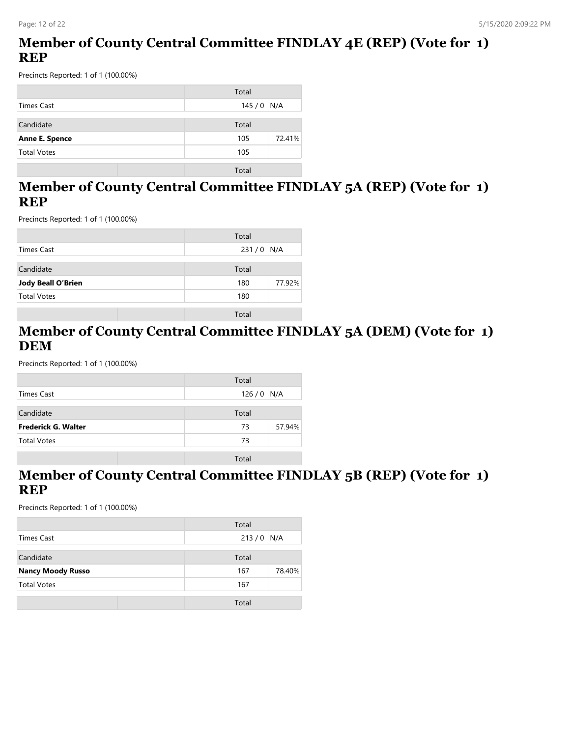### **Member of County Central Committee FINDLAY 4E (REP) (Vote for 1) REP**

Precincts Reported: 1 of 1 (100.00%)

|                       | Total         |
|-----------------------|---------------|
| Times Cast            | $145/0$ N/A   |
| Candidate             | Total         |
| <b>Anne E. Spence</b> | 72.41%<br>105 |
| <b>Total Votes</b>    | 105           |
|                       | Total         |

#### **Member of County Central Committee FINDLAY 5A (REP) (Vote for 1) REP**

Precincts Reported: 1 of 1 (100.00%)

|                           | Total         |
|---------------------------|---------------|
| Times Cast                | $231/0$ N/A   |
| Candidate                 | Total         |
| <b>Jody Beall O'Brien</b> | 77.92%<br>180 |
| <b>Total Votes</b>        | 180           |
|                           | Total         |

#### **Member of County Central Committee FINDLAY 5A (DEM) (Vote for 1) DEM**

Precincts Reported: 1 of 1 (100.00%)

|                     | Total        |
|---------------------|--------------|
| Times Cast          | $126/0$ N/A  |
| Candidate           | Total        |
|                     |              |
| Frederick G. Walter | 57.94%<br>73 |
| <b>Total Votes</b>  | 73           |
|                     | Total        |

#### **Member of County Central Committee FINDLAY 5B (REP) (Vote for 1) REP**

|                          | Total         |
|--------------------------|---------------|
| Times Cast               | $213/0$ N/A   |
| Candidate                | Total         |
| <b>Nancy Moody Russo</b> | 78.40%<br>167 |
| <b>Total Votes</b>       | 167           |
|                          | Total         |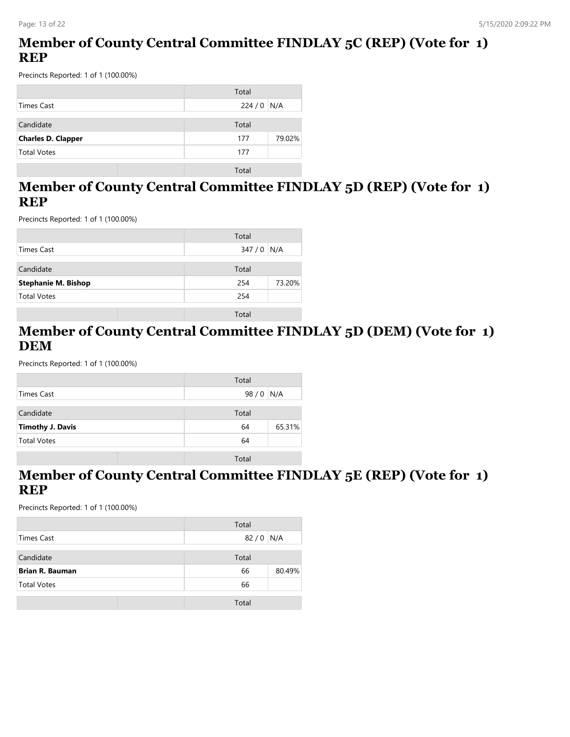### **Member of County Central Committee FINDLAY 5C (REP) (Vote for 1) REP**

Precincts Reported: 1 of 1 (100.00%)

|                           | Total         |
|---------------------------|---------------|
| Times Cast                | $224/0$ N/A   |
| Candidate                 | Total         |
| <b>Charles D. Clapper</b> | 79.02%<br>177 |
| <b>Total Votes</b>        | 177           |
|                           | Total         |

#### **Member of County Central Committee FINDLAY 5D (REP) (Vote for 1) REP**

Precincts Reported: 1 of 1 (100.00%)

|                            | Total         |
|----------------------------|---------------|
| Times Cast                 | $347/0$ N/A   |
| Candidate                  | Total         |
| <b>Stephanie M. Bishop</b> | 254<br>73.20% |
| <b>Total Votes</b>         | 254           |
|                            | Total         |

#### **Member of County Central Committee FINDLAY 5D (DEM) (Vote for 1) DEM**

Precincts Reported: 1 of 1 (100.00%)

|                         | Total        |
|-------------------------|--------------|
| <b>Times Cast</b>       | 98/0<br>N/A  |
| Candidate               | Total        |
| <b>Timothy J. Davis</b> | 65.31%<br>64 |
| <b>Total Votes</b>      | 64           |
|                         | Total        |

#### **Member of County Central Committee FINDLAY 5E (REP) (Vote for 1) REP**

|                        | Total        |
|------------------------|--------------|
| Times Cast             | $82/0$ N/A   |
| Candidate              | Total        |
| <b>Brian R. Bauman</b> | 80.49%<br>66 |
| <b>Total Votes</b>     | 66           |
|                        | Total        |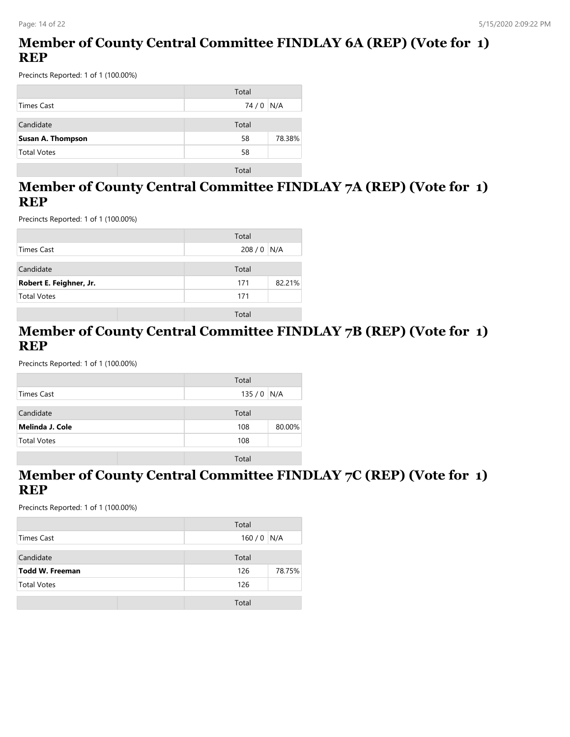### **Member of County Central Committee FINDLAY 6A (REP) (Vote for 1) REP**

Precincts Reported: 1 of 1 (100.00%)

|                          | Total        |
|--------------------------|--------------|
| Times Cast               | 74 / 0 N/A   |
| Candidate                | Total        |
| <b>Susan A. Thompson</b> | 78.38%<br>58 |
| <b>Total Votes</b>       | 58           |
|                          | Total        |

#### **Member of County Central Committee FINDLAY 7A (REP) (Vote for 1) REP**

Precincts Reported: 1 of 1 (100.00%)

|                         | Total         |
|-------------------------|---------------|
| Times Cast              | 208/0<br>N/A  |
| Candidate               | Total         |
| Robert E. Feighner, Jr. | 82.21%<br>171 |
| <b>Total Votes</b>      | 171           |
|                         | Total         |

#### **Member of County Central Committee FINDLAY 7B (REP) (Vote for 1) REP**

Precincts Reported: 1 of 1 (100.00%)

|                    | Total       |        |
|--------------------|-------------|--------|
| <b>Times Cast</b>  | $135/0$ N/A |        |
|                    |             |        |
| Candidate          | Total       |        |
| Melinda J. Cole    | 108         | 80.00% |
| <b>Total Votes</b> | 108         |        |
|                    |             |        |
|                    | Total       |        |

#### **Member of County Central Committee FINDLAY 7C (REP) (Vote for 1) REP**

|                    | Total         |
|--------------------|---------------|
| Times Cast         | $160/0$ N/A   |
| Candidate          | Total         |
| Todd W. Freeman    | 78.75%<br>126 |
| <b>Total Votes</b> | 126           |
|                    | Total         |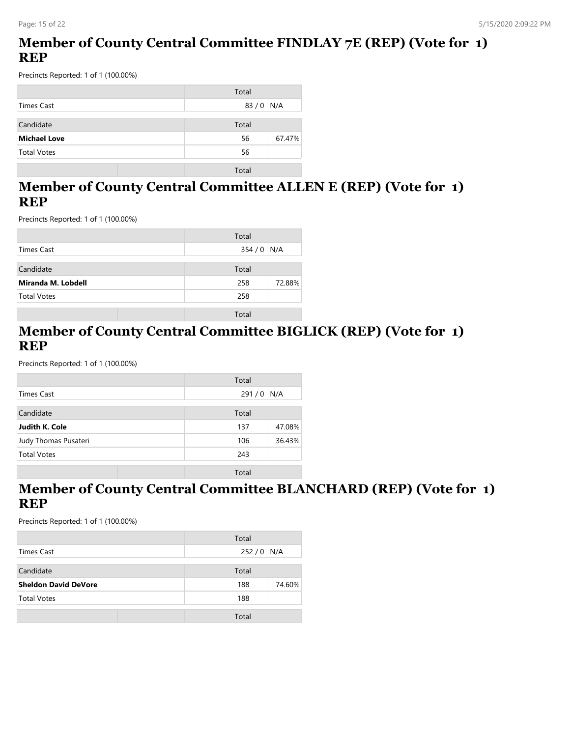### **Member of County Central Committee FINDLAY 7E (REP) (Vote for 1) REP**

Precincts Reported: 1 of 1 (100.00%)

|                     | Total        |
|---------------------|--------------|
| Times Cast          | $83/0$ N/A   |
| Candidate           | Total        |
| <b>Michael Love</b> | 67.47%<br>56 |
| <b>Total Votes</b>  | 56           |
|                     | Total        |

#### **Member of County Central Committee ALLEN E (REP) (Vote for 1) REP**

Precincts Reported: 1 of 1 (100.00%)

|                    | Total         |
|--------------------|---------------|
| Times Cast         | $354/0$ N/A   |
| Candidate          | Total         |
| Miranda M. Lobdell | 72.88%<br>258 |
| <b>Total Votes</b> | 258           |
|                    | Total         |

#### **Member of County Central Committee BIGLICK (REP) (Vote for 1) REP**

Precincts Reported: 1 of 1 (100.00%)

|                      | Total |        |
|----------------------|-------|--------|
| Times Cast           | 291/0 | N/A    |
| Candidate            | Total |        |
| Judith K. Cole       | 137   | 47.08% |
| Judy Thomas Pusateri | 106   | 36.43% |
| <b>Total Votes</b>   | 243   |        |
|                      | Total |        |

### **Member of County Central Committee BLANCHARD (REP) (Vote for 1) REP**

|                             | Total         |
|-----------------------------|---------------|
| Times Cast                  | 252/0<br>N/A  |
|                             |               |
| Candidate                   | Total         |
| <b>Sheldon David DeVore</b> | 74.60%<br>188 |
| <b>Total Votes</b>          | 188           |
|                             |               |
|                             | Total         |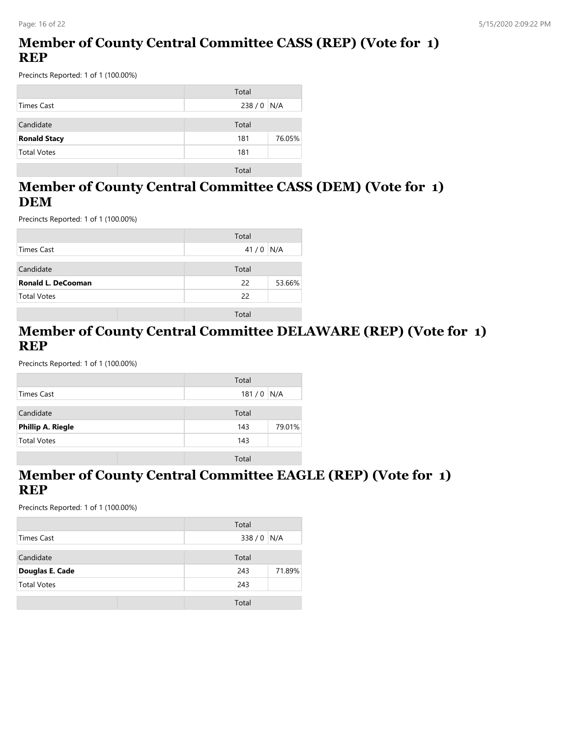### **Member of County Central Committee CASS (REP) (Vote for 1) REP**

Precincts Reported: 1 of 1 (100.00%)

|                     | Total         |
|---------------------|---------------|
| Times Cast          | $238/0$ N/A   |
| Candidate           | Total         |
| <b>Ronald Stacy</b> | 76.05%<br>181 |
| <b>Total Votes</b>  | 181           |
|                     | Total         |

#### **Member of County Central Committee CASS (DEM) (Vote for 1) DEM**

Precincts Reported: 1 of 1 (100.00%)

|                           | Total        |
|---------------------------|--------------|
| <b>Times Cast</b>         | 41/0<br>N/A  |
| Candidate                 | Total        |
| <b>Ronald L. DeCooman</b> | 53.66%<br>22 |
| <b>Total Votes</b>        | 22           |
|                           | Total        |

#### **Member of County Central Committee DELAWARE (REP) (Vote for 1) REP**

Precincts Reported: 1 of 1 (100.00%)

|                          | Total         |
|--------------------------|---------------|
| Times Cast               | $181/0$ N/A   |
| Candidate                | Total         |
| <b>Phillip A. Riegle</b> | 79.01%<br>143 |
| <b>Total Votes</b>       | 143           |
|                          |               |
|                          | Total         |

#### **Member of County Central Committee EAGLE (REP) (Vote for 1) REP**

|                    | Total         |
|--------------------|---------------|
| Times Cast         | 338 / 0 N/A   |
| Candidate          | Total         |
| Douglas E. Cade    | 71.89%<br>243 |
| <b>Total Votes</b> | 243           |
|                    | Total         |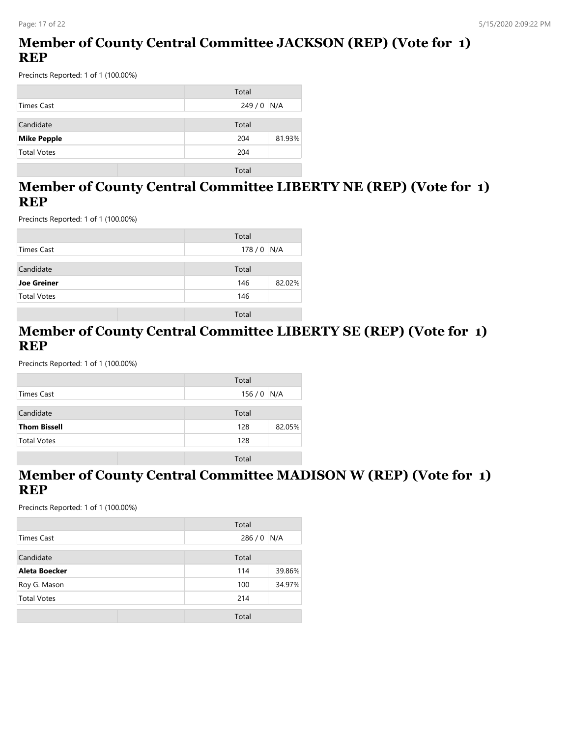### **Member of County Central Committee JACKSON (REP) (Vote for 1) REP**

Precincts Reported: 1 of 1 (100.00%)

|                    | Total         |
|--------------------|---------------|
| Times Cast         | $249/0$ N/A   |
| Candidate          | Total         |
| <b>Mike Pepple</b> | 81.93%<br>204 |
| <b>Total Votes</b> | 204           |
|                    | Total         |

#### **Member of County Central Committee LIBERTY NE (REP) (Vote for 1) REP**

Precincts Reported: 1 of 1 (100.00%)

|                    | Total         |
|--------------------|---------------|
| Times Cast         | $178/0$ N/A   |
| Candidate          | Total         |
| <b>Joe Greiner</b> | 82.02%<br>146 |
| <b>Total Votes</b> | 146           |
|                    | Total         |

#### **Member of County Central Committee LIBERTY SE (REP) (Vote for 1) REP**

Precincts Reported: 1 of 1 (100.00%)

|                     | Total       |        |
|---------------------|-------------|--------|
| <b>Times Cast</b>   | $156/0$ N/A |        |
|                     |             |        |
| Candidate           | Total       |        |
| <b>Thom Bissell</b> | 128         | 82.05% |
| <b>Total Votes</b>  | 128         |        |
|                     |             |        |
|                     | Total       |        |

#### **Member of County Central Committee MADISON W (REP) (Vote for 1) REP**

|                    | Total         |
|--------------------|---------------|
| Times Cast         | 286/0<br>N/A  |
| Candidate          | Total         |
| Aleta Boecker      | 39.86%<br>114 |
| Roy G. Mason       | 34.97%<br>100 |
| <b>Total Votes</b> | 214           |
|                    | Total         |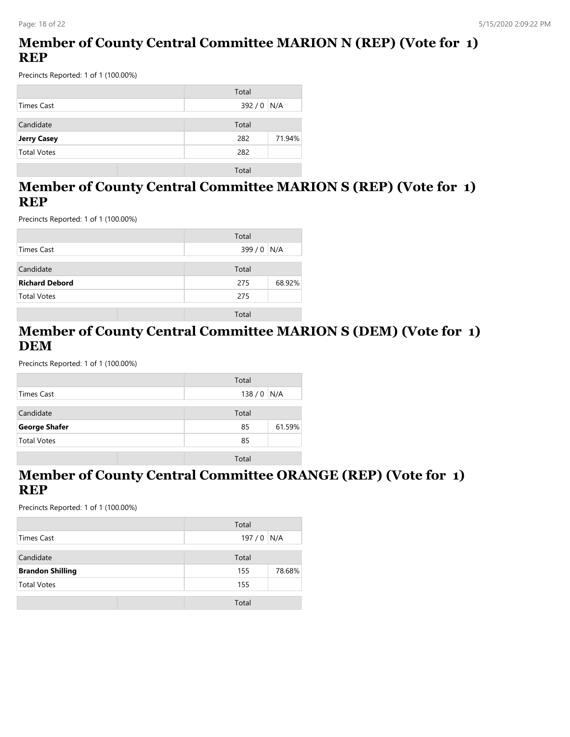### **Member of County Central Committee MARION N (REP) (Vote for 1) REP**

Precincts Reported: 1 of 1 (100.00%)

|                    | Total         |
|--------------------|---------------|
| Times Cast         | 392 / 0   N/A |
| Candidate          | Total         |
| <b>Jerry Casey</b> | 282<br>71.94% |
| <b>Total Votes</b> | 282           |
|                    | Total         |

#### **Member of County Central Committee MARION S (REP) (Vote for 1) REP**

Precincts Reported: 1 of 1 (100.00%)

|                       | Total         |
|-----------------------|---------------|
| Times Cast            | 399 / 0   N/A |
| Candidate             | Total         |
| <b>Richard Debord</b> | 68.92%<br>275 |
| <b>Total Votes</b>    | 275           |
|                       | Total         |

#### **Member of County Central Committee MARION S (DEM) (Vote for 1) DEM**

Precincts Reported: 1 of 1 (100.00%)

|                      | Total        |
|----------------------|--------------|
| Times Cast           | $138/0$ N/A  |
|                      |              |
| Candidate            | Total        |
| <b>George Shafer</b> | 61.59%<br>85 |
| <b>Total Votes</b>   | 85           |
|                      |              |
|                      | Total        |

#### **Member of County Central Committee ORANGE (REP) (Vote for 1) REP**

|                         | Total         |
|-------------------------|---------------|
| Times Cast              | $197/0$ N/A   |
| Candidate               | Total         |
| <b>Brandon Shilling</b> | 78.68%<br>155 |
| <b>Total Votes</b>      | 155           |
|                         | Total         |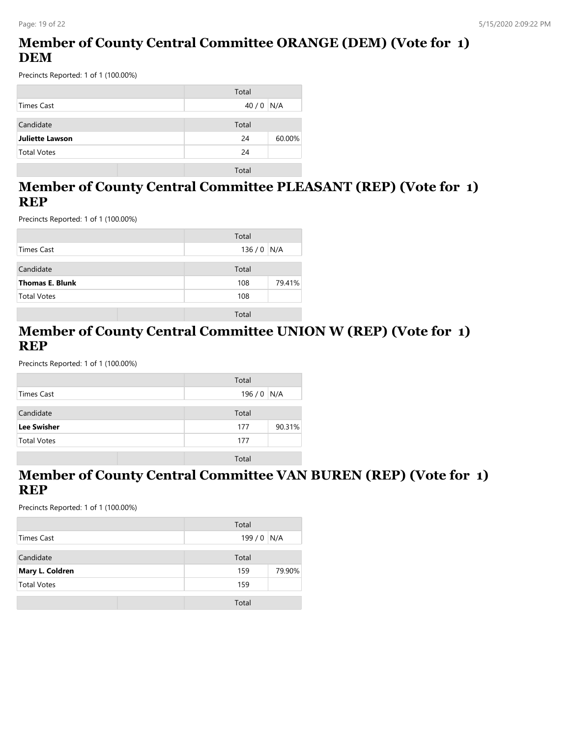### **Member of County Central Committee ORANGE (DEM) (Vote for 1) DEM**

Precincts Reported: 1 of 1 (100.00%)

|                        | Total        |
|------------------------|--------------|
| Times Cast             | $40/0$ N/A   |
| Candidate              | Total        |
| <b>Juliette Lawson</b> | 60.00%<br>24 |
| <b>Total Votes</b>     | 24           |
|                        | Total        |

#### **Member of County Central Committee PLEASANT (REP) (Vote for 1) REP**

Precincts Reported: 1 of 1 (100.00%)

|                        | Total         |
|------------------------|---------------|
| Times Cast             | $136/0$ N/A   |
| Candidate              | Total         |
| <b>Thomas E. Blunk</b> | 79.41%<br>108 |
| <b>Total Votes</b>     | 108           |
|                        | Total         |

#### **Member of County Central Committee UNION W (REP) (Vote for 1) REP**

Precincts Reported: 1 of 1 (100.00%)

|                    | Total         |
|--------------------|---------------|
| <b>Times Cast</b>  | $196/0$ N/A   |
|                    |               |
| Candidate          | Total         |
| <b>Lee Swisher</b> | 90.31%<br>177 |
| <b>Total Votes</b> | 177           |
|                    |               |
|                    | Total         |

#### **Member of County Central Committee VAN BUREN (REP) (Vote for 1) REP**

|                    | Total         |
|--------------------|---------------|
| Times Cast         | $199/0$ N/A   |
| Candidate          | Total         |
| Mary L. Coldren    | 79.90%<br>159 |
| <b>Total Votes</b> | 159           |
|                    | Total         |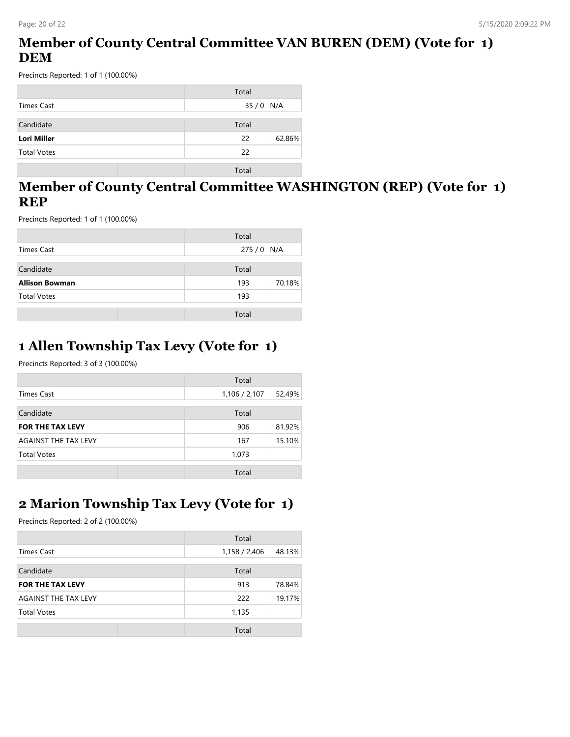### **Member of County Central Committee VAN BUREN (DEM) (Vote for 1) DEM**

Precincts Reported: 1 of 1 (100.00%)

|                    | Total        |
|--------------------|--------------|
| Times Cast         | $35/0$ N/A   |
| Candidate          | Total        |
| <b>Lori Miller</b> | 62.86%<br>22 |
| <b>Total Votes</b> | 22           |
|                    | Total        |

#### **Member of County Central Committee WASHINGTON (REP) (Vote for 1) REP**

Precincts Reported: 1 of 1 (100.00%)

|                       | Total         |
|-----------------------|---------------|
| Times Cast            | $275/0$ N/A   |
| Candidate             | Total         |
| <b>Allison Bowman</b> | 70.18%<br>193 |
| <b>Total Votes</b>    | 193           |
|                       | Total         |

### **1 Allen Township Tax Levy (Vote for 1)**

Precincts Reported: 3 of 3 (100.00%)

|                             | Total         |        |
|-----------------------------|---------------|--------|
| Times Cast                  | 1,106 / 2,107 | 52.49% |
| Candidate                   | Total         |        |
| <b>FOR THE TAX LEVY</b>     | 906           | 81.92% |
| <b>AGAINST THE TAX LEVY</b> | 167           | 15.10% |
| <b>Total Votes</b>          | 1,073         |        |
|                             | Total         |        |

# **2 Marion Township Tax Levy (Vote for 1)**

|                         | Total         |        |
|-------------------------|---------------|--------|
| <b>Times Cast</b>       | 1,158 / 2,406 | 48.13% |
| Candidate               | Total         |        |
| <b>FOR THE TAX LEVY</b> | 913           | 78.84% |
| AGAINST THE TAX LEVY    | 222           | 19.17% |
| <b>Total Votes</b>      | 1,135         |        |
|                         | Total         |        |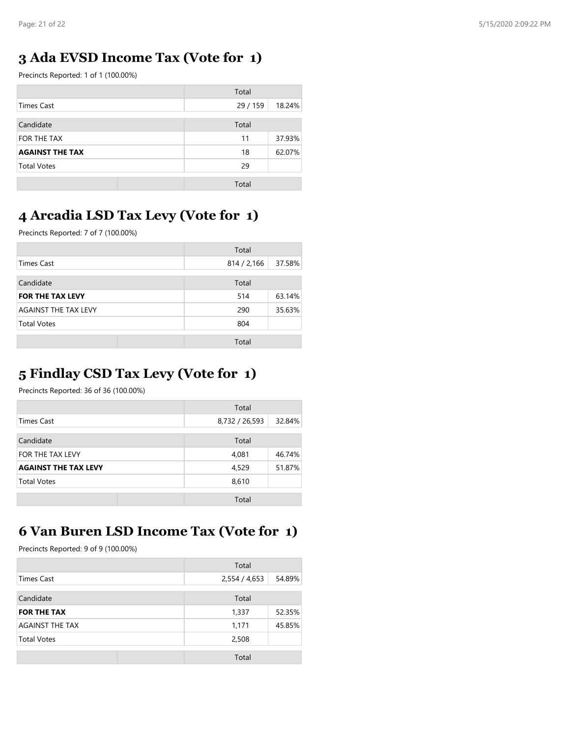### **3 Ada EVSD Income Tax (Vote for 1)**

Precincts Reported: 1 of 1 (100.00%)

|                        | Total    |        |
|------------------------|----------|--------|
| Times Cast             | 29 / 159 | 18.24% |
| Candidate              | Total    |        |
| FOR THE TAX            | 11       | 37.93% |
| <b>AGAINST THE TAX</b> | 18       | 62.07% |
| <b>Total Votes</b>     | 29       |        |
|                        | Total    |        |

### **4 Arcadia LSD Tax Levy (Vote for 1)**

Precincts Reported: 7 of 7 (100.00%)

|                             | Total       |        |
|-----------------------------|-------------|--------|
| Times Cast                  | 814 / 2,166 | 37.58% |
| Candidate                   | Total       |        |
| <b>FOR THE TAX LEVY</b>     | 514         | 63.14% |
| <b>AGAINST THE TAX LEVY</b> | 290         | 35.63% |
| <b>Total Votes</b>          | 804         |        |
|                             | Total       |        |

## **5 Findlay CSD Tax Levy (Vote for 1)**

Precincts Reported: 36 of 36 (100.00%)

|                             | Total          |        |
|-----------------------------|----------------|--------|
| <b>Times Cast</b>           | 8,732 / 26,593 | 32.84% |
| Candidate                   | Total          |        |
| FOR THE TAX LEVY            | 4,081          | 46.74% |
| <b>AGAINST THE TAX LEVY</b> | 4,529          | 51.87% |
| <b>Total Votes</b>          | 8,610          |        |
|                             | Total          |        |

### **6 Van Buren LSD Income Tax (Vote for 1)**

|                        | Total         |        |
|------------------------|---------------|--------|
| Times Cast             | 2,554 / 4,653 | 54.89% |
| Candidate              | Total         |        |
| <b>FOR THE TAX</b>     | 1,337         | 52.35% |
| <b>AGAINST THE TAX</b> | 1,171         | 45.85% |
| <b>Total Votes</b>     | 2,508         |        |
|                        | Total         |        |